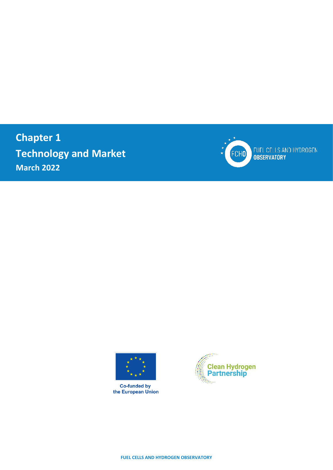**Chapter 1 Technology and Market March 2022**



FUEL CELLS AND HYDROGEN<br>OBSERVATORY



**Co-funded by**<br>the European Union



**FUEL CELLS AND HYDROGEN OBSERVATORY**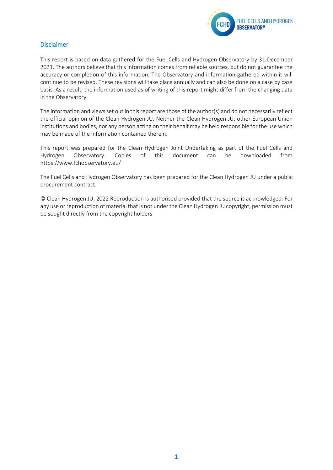

#### <span id="page-1-0"></span>Disclaimer

This report is based on data gathered for the Fuel Cells and Hydrogen Observatory by 31 December 2021. The authors believe that this information comes from reliable sources, but do not guarantee the accuracy or completion of this information. The Observatory and information gathered within it will continue to be revised. These revisions will take place annually and can also be done on a case by case basis. As a result, the information used as of writing of this report might differ from the changing data in the Observatory.

The information and views set out in this report are those of the author(s) and do not necessarily reflect the official opinion of the Clean Hydrogen JU. Neither the Clean Hydrogen JU, other European Union institutions and bodies, nor any person acting on their behalf may be held responsible for the use which may be made of the information contained therein.

This report was prepared for the Clean Hydrogen Joint Undertaking as part of the Fuel Cells and Hydrogen Observatory. Copies of this document can be downloaded from <https://www.fchobservatory.eu/>

The Fuel Cells and Hydrogen Observatory has been prepared for the Clean Hydrogen JU under a public procurement contract.

© Clean Hydrogen JU, 2022 Reproduction is authorised provided that the source is acknowledged. For any use or reproduction of material that is not under the Clean Hydrogen JU copyright, permission must be sought directly from the copyright holders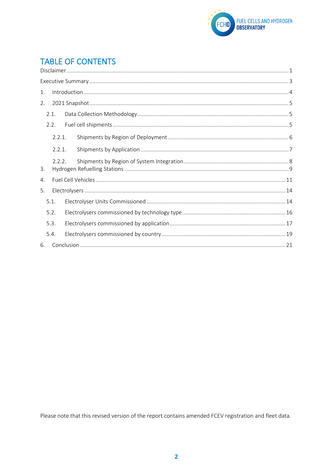

# **TABLE OF CONTENTS**

| 1. |        |  |  |  |  |  |  |  |  |  |  |  |
|----|--------|--|--|--|--|--|--|--|--|--|--|--|
| 2. |        |  |  |  |  |  |  |  |  |  |  |  |
|    | 2.1.   |  |  |  |  |  |  |  |  |  |  |  |
|    | 2.2.   |  |  |  |  |  |  |  |  |  |  |  |
|    | 2.2.1. |  |  |  |  |  |  |  |  |  |  |  |
|    | 2.2.1. |  |  |  |  |  |  |  |  |  |  |  |
| 3. | 2.2.2. |  |  |  |  |  |  |  |  |  |  |  |
| 4. |        |  |  |  |  |  |  |  |  |  |  |  |
| 5. |        |  |  |  |  |  |  |  |  |  |  |  |
|    | 5.1.   |  |  |  |  |  |  |  |  |  |  |  |
|    | 5.2.   |  |  |  |  |  |  |  |  |  |  |  |
|    | 5.3.   |  |  |  |  |  |  |  |  |  |  |  |
|    | 5.4.   |  |  |  |  |  |  |  |  |  |  |  |
| 6. |        |  |  |  |  |  |  |  |  |  |  |  |

Please note that this revised version of the report contains amended FCEV registration and fleet data.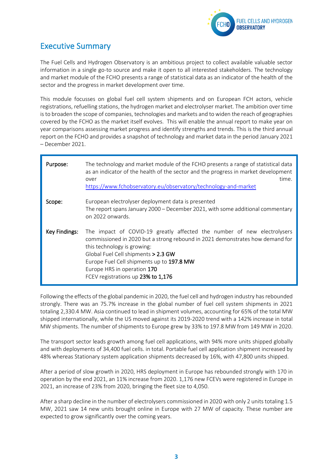

# <span id="page-3-0"></span>Executive Summary

The Fuel Cells and Hydrogen Observatory is an ambitious project to collect available valuable sector information in a single go-to source and make it open to all interested stakeholders. The technology and market module of the FCHO presents a range of statistical data as an indicator of the health of the sector and the progress in market development over time.

This module focusses on global fuel cell system shipments and on European FCH actors, vehicle registrations, refuelling stations, the hydrogen market and electrolyser market. The ambition over time is to broaden the scope of companies, technologies and markets and to widen the reach of geographies covered by the FCHO as the market itself evolves. This will enable the annual report to make year on year comparisons assessing market progress and identify strengths and trends. This is the third annual report on the FCHO and provides a snapshot of technology and market data in the period January 2021 – December 2021.

| Purpose:      | The technology and market module of the FCHO presents a range of statistical data<br>as an indicator of the health of the sector and the progress in market development<br>time.<br>over<br>https://www.fchobservatory.eu/observatory/technology-and-market                                                                                      |
|---------------|--------------------------------------------------------------------------------------------------------------------------------------------------------------------------------------------------------------------------------------------------------------------------------------------------------------------------------------------------|
| Scope:        | European electrolyser deployment data is presented<br>The report spans January 2000 – December 2021, with some additional commentary<br>on 2022 onwards.                                                                                                                                                                                         |
| Key Findings: | The impact of COVID-19 greatly affected the number of new electrolysers<br>commissioned in 2020 but a strong rebound in 2021 demonstrates how demand for<br>this technology is growing:<br>Global Fuel Cell shipments > 2.3 GW<br>Europe Fuel Cell shipments up to 197.8 MW<br>Europe HRS in operation 170<br>FCEV registrations up 23% to 1,176 |

Following the effects of the global pandemic in 2020, the fuel cell and hydrogen industry has rebounded strongly. There was an 75.7% increase in the global number of fuel cell system shipments in 2021 totaling 2,330.4 MW. Asia continued to lead in shipment volumes, accounting for 65% of the total MW shipped internationally, while the US moved against its 2019-2020 trend with a 142% increase in total MW shipments. The number of shipments to Europe grew by 33% to 197.8 MW from 149 MW in 2020.

The transport sector leads growth among fuel cell applications, with 94% more units shipped globally and with deployments of 34,400 fuel cells. in total. Portable fuel cell application shipment increased by 48% whereas Stationary system application shipments decreased by 16%, with 47,800 units shipped.

After a period of slow growth in 2020, HRS deployment in Europe has rebounded strongly with 170 in operation by the end 2021, an 11% increase from 2020. 1,176 new FCEVs were registered in Europe in 2021, an increase of 23% from 2020, bringing the fleet size to 4,050.

After a sharp decline in the number of electrolysers commissioned in 2020 with only 2 units totaling 1.5 MW, 2021 saw 14 new units brought online in Europe with 27 MW of capacity. These number are expected to grow significantly over the coming years.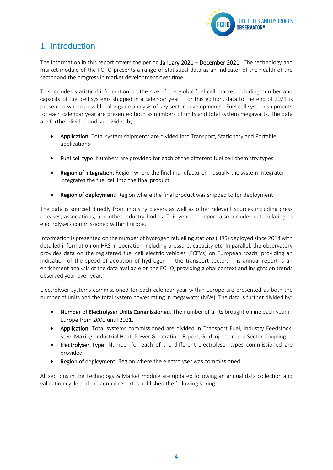

## <span id="page-4-0"></span>1. Introduction

The information in this report covers the period January 2021 – December 2021. The technology and market module of the FCHO presents a range of statistical data as an indicator of the health of the sector and the progress in market development over time.

This includes statistical information on the size of the global fuel cell market including number and capacity of fuel cell systems shipped in a calendar year. For this edition, data to the end of 2021 is presented where possible, alongside analysis of key sector developments. Fuel cell system shipments for each calendar year are presented both as numbers of units and total system megawatts. The data are further divided and subdivided by:

- Application: Total system shipments are divided into Transport, Stationary and Portable applications
- Fuel cell type: Numbers are provided for each of the different fuel cell chemistry types
- Region of integration: Region where the final manufacturer usually the system integrator integrates the fuel cell into the final product
- Region of deployment: Region where the final product was shipped to for deployment

The data is sourced directly from industry players as well as other relevant sources including press releases, associations, and other industry bodies. This year the report also includes data relating to electrolysers commissioned within Europe.

Information is presented on the number of hydrogen refuelling stations (HRS) deployed since 2014 with detailed information on HRS in operation including pressure, capacity etc. In parallel, the observatory provides data on the registered fuel cell electric vehicles (FCEVs) on European roads, providing an indication of the speed of adoption of hydrogen in the transport sector. This annual report is an enrichment analysis of the data available on the FCHO, providing global context and insights on trends observed year-over-year.

Electrolyser systems commissioned for each calendar year within Europe are presented as both the number of units and the total system power rating in megawatts (MW). The data is further divided by:

- Number of Electrolyser Units Commissioned: The number of units brought online each year in Europe from 2000 until 2021.
- Application: Total systems commissioned are divided in Transport Fuel, Industry Feedstock, Steel Making, Industrial Heat, Power Generation, Export, Grid Injection and Sector Coupling.
- Electrolyser Type: Number for each of the different electrolyser types commissioned are provided.
- **Region of deployment:** Region where the electrolyser was commissioned.

All sections in the Technology & Market module are updated following an annual data collection and validation cycle and the annual report is published the following Spring.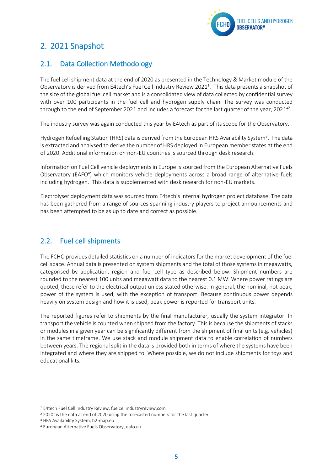

# <span id="page-5-0"></span>2. 2021 Snapshot

### <span id="page-5-1"></span>2.1. Data Collection Methodology

The fuel cell shipment data at the end of 2020 as presented in the Technology & Market module of the Observatory is derived from E4tech's Fuel Cell Industry Review 2021<sup>1</sup>. This data presents a snapshot of the size of the global fuel cell market and is a consolidated view of data collected by confidential survey with over 100 participants in the fuel cell and hydrogen supply chain. The survey was conducted through to the end of September 2021 and includes a forecast for the last quarter of the year, 2021f<sup>2</sup>.

The industry survey was again conducted this year by E4tech as part of its scope for the Observatory.

Hydrogen Refuelling Station (HRS) data is derived from the European HRS Availability System<sup>3</sup>. The data is extracted and analysed to derive the number of HRS deployed in European member states at the end of 2020. Additional information on non-EU countries is sourced through desk research.

Information on Fuel Cell vehicle deployments in Europe is sourced from the European Alternative Fuels Observatory (EAFO<sup>4</sup>) which monitors vehicle deployments across a broad range of alternative fuels including hydrogen. This data is supplemented with desk research for non-EU markets.

Electrolyser deployment data was sourced from E4tech's internal hydrogen project database. The data has been gathered from a range of sources spanning industry players to project announcements and has been attempted to be as up to date and correct as possible.

### <span id="page-5-2"></span>2.2. Fuel cell shipments

The FCHO provides detailed statistics on a number of indicators for the market development of the fuel cell space. Annual data is presented on system shipments and the total of those systems in megawatts, categorised by application, region and fuel cell type as described below. Shipment numbers are rounded to the nearest 100 units and megawatt data to the nearest 0.1 MW. Where power ratings are quoted, these refer to the electrical output unless stated otherwise. In general, the nominal, not peak, power of the system is used, with the exception of transport. Because continuous power depends heavily on system design and how it is used, peak power is reported for transport units.

The reported figures refer to shipments by the final manufacturer, usually the system integrator. In transport the vehicle is counted when shipped from the factory. This is because the shipments of stacks or modules in a given year can be significantly different from the shipment of final units (e.g. vehicles) in the same timeframe. We use stack and module shipment data to enable correlation of numbers between years. The regional split in the data is provided both in terms of where the systems have been integrated and where they are shipped to. Where possible, we do not include shipments for toys and educational kits.

<sup>1</sup> E4tech Fuel Cell Industry Review[, fuelcellindustryreview.com](http://www.fuelcellindustryreview.com/)

<sup>2</sup> 2020f is the data at end of 2020 using the forecasted numbers for the last quarter

<sup>3</sup> HRS Availability System, h2-map.eu

<sup>4</sup> European Alternative Fuels Observatory, eafo.eu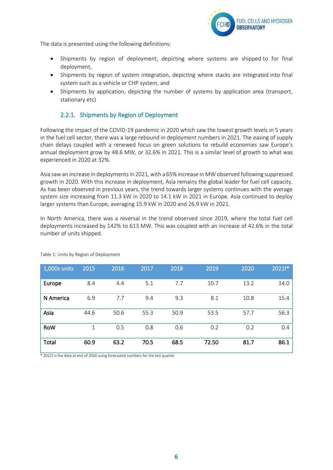

The data is presented using the following definitions:

- Shipments by region of deployment, depicting where systems are shipped to for final deployment,
- Shipments by region of system integration, depicting where stacks are integrated into final system such as a vehicle or CHP system, and
- Shipments by application, depicting the number of systems by application area (transport, stationary etc)

#### 2.2.1. Shipments by Region of Deployment

<span id="page-6-0"></span>Following the impact of the COVID-19 pandemic in 2020 which saw the lowest growth levels in 5 years in the fuel cell sector, there was a large rebound in deployment numbers in 2021. The easing of supply chain delays coupled with a renewed focus on green solutions to rebuild economies saw Europe's annual deployment grow by 48.6 MW, or 32.6% in 2021. This is a similar level of growth to what was experienced in 2020 at 32%.

Asia saw an increase in deployments in 2021, with a 65% increase in MW observed following suppressed growth in 2020. With this increase in deployment, Asia remains the global leader for fuel cell capacity. As has been observed in previous years, the trend towards larger systems continues with the average system size increasing from 11.3 kW in 2020 to 14.1 kW in 2021 in Europe. Asia continued to deploy larger systems than Europe, averaging 15.9 kW in 2020 and 26.9 kW in 2021.

In North America, there was a reversal in the trend observed since 2019, where the total fuel cell deployments increased by 142% to 613 MW. This was coupled with an increase of 42.6% in the total number of units shipped.

| $1,000s$ units | 2015 | 2016 | 2017 | 2018 | 2019  | 2020 | $2021f*$ |
|----------------|------|------|------|------|-------|------|----------|
| Europe         | 8.4  | 4.4  | 5.1  | 7.7  | 10.7  | 13.2 | 14.0     |
| N America      | 6.9  | 7.7  | 9.4  | 9.3  | 8.1   | 10.8 | 15.4     |
| Asia           | 44.6 | 50.6 | 55.3 | 50.9 | 53.5  | 57.7 | 56.3     |
| <b>RoW</b>     | 1    | 0.5  | 0.8  | 0.6  | 0.2   | 0.2  | 0.4      |
| Total          | 60.9 | 63.2 | 70.5 | 68.5 | 72.50 | 81.7 | 86.1     |

Table 1: Units by Region of Deployment

\* 2021f is the data at end of 2020 using forecasted numbers for the last quarter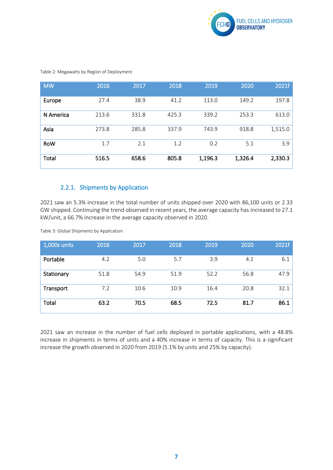

| <b>MW</b>  | 2016  | 2017  | 2018  | 2019    | 2020    | 2021f   |
|------------|-------|-------|-------|---------|---------|---------|
| Europe     | 27.4  | 38.9  | 41.2  | 113.0   | 149.2   | 197.8   |
| N America  | 213.6 | 331.8 | 425.3 | 339.2   | 253.3   | 613.0   |
| Asia       | 273.8 | 285.8 | 337.9 | 743.9   | 918.8   | 1,515.0 |
| <b>RoW</b> | 1.7   | 2.1   | 1.2   | 0.2     | 5.1     | 3.9     |
| Total      | 516.5 | 658.6 | 805.8 | 1,196.3 | 1,326.4 | 2,330.3 |

Table 2: Megawatts by Region of Deployment

### 2.2.1. Shipments by Application

<span id="page-7-0"></span>2021 saw an 5.3% increase in the total number of units shipped over 2020 with 86,100 units or 2.33 GW shipped. Continuing the trend observed in recent years, the average capacity has increased to 27.1 kW/unit, a 66.7% increase in the average capacity observed in 2020.

Table 3: Global Shipments by Application

| 1,000s units | 2016 | 2017 | 2018 | 2019 | 2020 | 2021f |
|--------------|------|------|------|------|------|-------|
| Portable     | 4.2  | 5.0  | 5.7  | 3.9  | 4.1  | 6.1   |
| Stationary   | 51.8 | 54.9 | 51.9 | 52.2 | 56.8 | 47.9  |
| Transport    | 7.2  | 10.6 | 10.9 | 16.4 | 20.8 | 32.1  |
| Total        | 63.2 | 70.5 | 68.5 | 72.5 | 81.7 | 86.1  |

2021 saw an increase in the number of fuel cells deployed in portable applications, with a 48.8% increase in shipments in terms of units and a 40% increase in terms of capacity. This is a significant increase the growth observed in 2020 from 2019 (5.1% by units and 25% by capacity).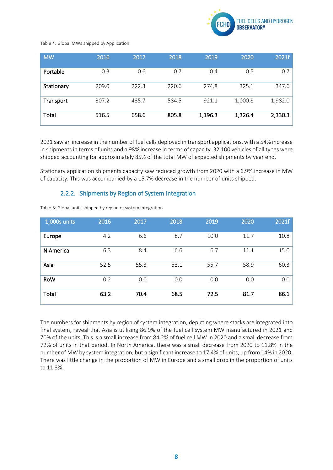

#### Table 4: Global MWs shipped by Application

| <b>MW</b>  | 2016  | 2017  | 2018  | 2019    | 2020    | 2021f   |
|------------|-------|-------|-------|---------|---------|---------|
| Portable   | 0.3   | 0.6   | 0.7   | 0.4     | 0.5     | 0.7     |
| Stationary | 209.0 | 222.3 | 220.6 | 274.8   | 325.1   | 347.6   |
| Transport  | 307.2 | 435.7 | 584.5 | 921.1   | 1,000.8 | 1,982.0 |
| Total      | 516.5 | 658.6 | 805.8 | 1,196.3 | 1,326.4 | 2,330.3 |

2021 saw an increase in the number of fuel cells deployed in transport applications, with a 54% increase in shipments in terms of units and a 98% increase in terms of capacity. 32,100 vehicles of all types were shipped accounting for approximately 85% of the total MW of expected shipments by year end.

Stationary application shipments capacity saw reduced growth from 2020 with a 6.9% increase in MW of capacity. This was accompanied by a 15.7% decrease in the number of units shipped.

#### 2.2.2. Shipments by Region of System Integration

<span id="page-8-0"></span>Table 5: Global units shipped by region of system integration

| 1,000s units | 2016 | 2017 | 2018 | 2019 | 2020 | 2021f |
|--------------|------|------|------|------|------|-------|
| Europe       | 4.2  | 6.6  | 8.7  | 10.0 | 11.7 | 10.8  |
| N America    | 6.3  | 8.4  | 6.6  | 6.7  | 11.1 | 15.0  |
| Asia         | 52.5 | 55.3 | 53.1 | 55.7 | 58.9 | 60.3  |
| <b>RoW</b>   | 0.2  | 0.0  | 0.0  | 0.0  | 0.0  | 0.0   |
| Total        | 63.2 | 70.4 | 68.5 | 72.5 | 81.7 | 86.1  |

The numbers for shipments by region of system integration, depicting where stacks are integrated into final system, reveal that Asia is utilising 86.9% of the fuel cell system MW manufactured in 2021 and 70% of the units. This is a small increase from 84.2% of fuel cell MW in 2020 and a small decrease from 72% of units in that period. In North America, there was a small decrease from 2020 to 11.8% in the number of MW by system integration, but a significant increase to 17.4% of units, up from 14% in 2020. There was little change in the proportion of MW in Europe and a small drop in the proportion of units to 11.3%.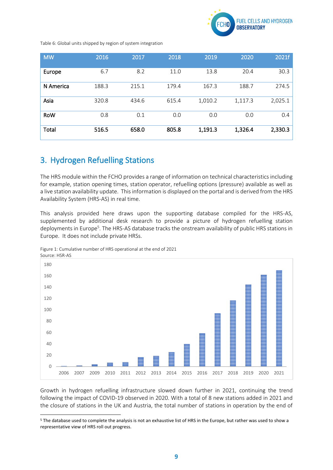

Table 6: Global units shipped by region of system integration

| <b>MW</b>    | 2016  | 2017  | 2018  | 2019    | 2020    | 2021f   |
|--------------|-------|-------|-------|---------|---------|---------|
| Europe       | 6.7   | 8.2   | 11.0  | 13.8    | 20.4    | 30.3    |
| N America    | 188.3 | 215.1 | 179.4 | 167.3   | 188.7   | 274.5   |
| Asia         | 320.8 | 434.6 | 615.4 | 1,010.2 | 1,117.3 | 2,025.1 |
| <b>RoW</b>   | 0.8   | 0.1   | 0.0   | 0.0     | 0.0     | 0.4     |
| <b>Total</b> | 516.5 | 658.0 | 805.8 | 1,191.3 | 1,326.4 | 2,330.3 |

## <span id="page-9-0"></span>3. Hydrogen Refuelling Stations

The HRS module within the FCHO provides a range of information on technical characteristics including for example, station opening times, station operator, refuelling options (pressure) available as well as a live station availability update. This information is displayed on the portal and is derived from the HRS Availability System (HRS-AS) in real time.

This analysis provided here draws upon the supporting database compiled for the HRS-AS, supplemented by additional desk research to provide a picture of hydrogen refuelling station deployments in Europe<sup>5</sup>. The HRS-AS database tracks the onstream availability of public HRS stations in Europe. It does not include private HRSs.



Figure 1: Cumulative number of HRS operational at the end of 2021

Growth in hydrogen refuelling infrastructure slowed down further in 2021, continuing the trend following the impact of COVID-19 observed in 2020. With a total of 8 new stations added in 2021 and the closure of stations in the UK and Austria, the total number of stations in operation by the end of

<sup>5</sup> The database used to complete the analysis is not an exhaustive list of HRS in the Europe, but rather was used to show a representative view of HRS roll out progress.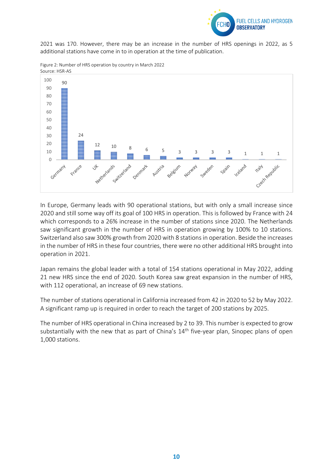

2021 was 170. However, there may be an increase in the number of HRS openings in 2022, as 5 additional stations have come in to in operation at the time of publication.



Figure 2: Number of HRS operation by country in March 2022 Source: HSR-AS

In Europe, Germany leads with 90 operational stations, but with only a small increase since 2020 and still some way off its goal of 100 HRS in operation. This is followed by France with 24 which corresponds to a 26% increase in the number of stations since 2020. The Netherlands saw significant growth in the number of HRS in operation growing by 100% to 10 stations. Switzerland also saw 300% growth from 2020 with 8 stations in operation. Beside the increases in the number of HRS in these four countries, there were no other additional HRS brought into operation in 2021.

Japan remains the global leader with a total of 154 stations operational in May 2022, adding 21 new HRS since the end of 2020. South Korea saw great expansion in the number of HRS, with 112 operational, an increase of 69 new stations.

The number of stations operational in California increased from 42 in 2020 to 52 by May 2022. A significant ramp up is required in order to reach the target of 200 stations by 2025.

The number of HRS operational in China increased by 2 to 39. This number is expected to grow substantially with the new that as part of China's 14<sup>th</sup> five-year plan, Sinopec plans of open 1,000 stations.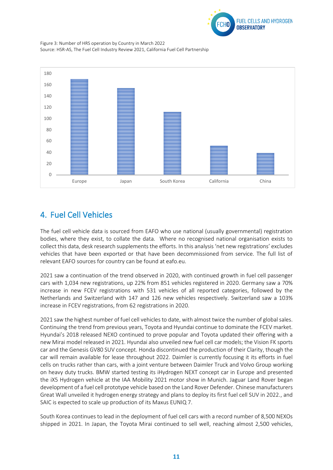

Figure 3: Number of HRS operation by Country in March 2022 Source: HSR-AS, The Fuel Cell Industry Review 2021, California Fuel Cell Partnership



# <span id="page-11-0"></span>4. Fuel Cell Vehicles

The fuel cell vehicle data is sourced from EAFO who use national (usually governmental) registration bodies, where they exist, to collate the data. Where no recognised national organisation exists to collect this data, desk research supplements the efforts. In this analysis 'net new registrations' excludes vehicles that have been exported or that have been decommissioned from service. The full list of relevant EAFO sources for country can be found at eafo.eu.

2021 saw a continuation of the trend observed in 2020, with continued growth in fuel cell passenger cars with 1,034 new registrations, up 22% from 851 vehicles registered in 2020. Germany saw a 70% increase in new FCEV registrations with 531 vehicles of all reported categories, followed by the Netherlands and Switzerland with 147 and 126 new vehicles respectively. Switzerland saw a 103% increase in FCEV registrations, from 62 registrations in 2020.

2021 saw the highest number of fuel cell vehicles to date, with almost twice the number of global sales. Continuing the trend from previous years, Toyota and Hyundai continue to dominate the FCEV market. Hyundai's 2018 released NEXO continued to prove popular and Toyota updated their offering with a new Mirai model released in 2021. Hyundai also unveiled new fuel cell car models; the Vision FK sports car and the Genesis GV80 SUV concept. Honda discontinued the production of their Clarity, though the car will remain available for lease throughout 2022. Daimler is currently focusing it its efforts in fuel cells on trucks rather than cars, with a joint venture between Daimler Truck and Volvo Group working on heavy duty trucks. BMW started testing its iHydrogen NEXT concept car in Europe and presented the iX5 Hydrogen vehicle at the IAA Mobility 2021 motor show in Munich. Jaguar Land Rover began development of a fuel cell prototype vehicle based on the Land Rover Defender. Chinese manufacturers Great Wall unveiled it hydrogen energy strategy and plans to deploy its first fuel cell SUV in 2022., and SAIC is expected to scale up production of its Maxus EUNIQ 7.

South Korea continues to lead in the deployment of fuel cell cars with a record number of 8,500 NEXOs shipped in 2021. In Japan, the Toyota Mirai continued to sell well, reaching almost 2,500 vehicles,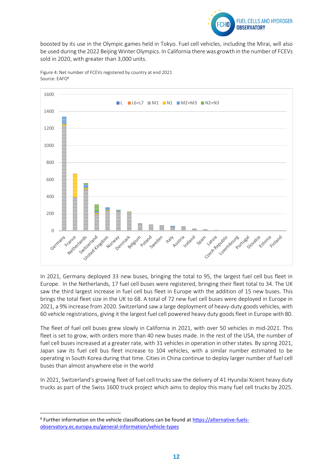

boosted by its use in the Olympic games held in Tokyo. Fuel cell vehicles, including the Mirai, will also be used during the 2022 Beijing Winter Olympics. In California there was growth in the number of FCEVs sold in 2020, with greater than 3,000 units.



Figure 4: Net number of FCEVs registered by country at end 2021 Source: EAFO<sup>6</sup>

In 2021, Germany deployed 33 new buses, bringing the total to 95, the largest fuel cell bus fleet in Europe. In the Netherlands, 17 fuel cell buses were registered, bringing their fleet total to 34. The UK saw the third largest increase in fuel cell bus fleet in Europe with the addition of 15 new buses. This brings the total fleet size in the UK to 68. A total of 72 new fuel cell buses were deployed in Europe in 2021, a 9% increase from 2020. Switzerland saw a large deployment of heavy-duty goods vehicles, with 60 vehicle registrations, giving it the largest fuel cell powered heavy duty goods fleet in Europe with 80.

The fleet of fuel cell buses grew slowly in California in 2021, with over 50 vehicles in mid-2021. This fleet is set to grow, with orders more than 40 new buses made. In the rest of the USA, the number of fuel cell buses increased at a greater rate, with 31 vehicles in operation in other states. By spring 2021, Japan saw its fuel cell bus fleet increase to 104 vehicles, with a similar number estimated to be operating in South Korea during that time. Cities in China continue to deploy larger number of fuel cell buses than almost anywhere else in the world

In 2021, Switzerland's growing fleet of fuel cell trucks saw the delivery of 41 Hyundai Xcient heavy duty trucks as part of the Swiss 1600 truck project which aims to deploy this many fuel cell trucks by 2025.

<sup>&</sup>lt;sup>6</sup> Further information on the vehicle classifications can be found at **https://alternative-fuels**[observatory.ec.europa.eu/general-information/vehicle-types](https://alternative-fuels-observatory.ec.europa.eu/general-information/vehicle-types)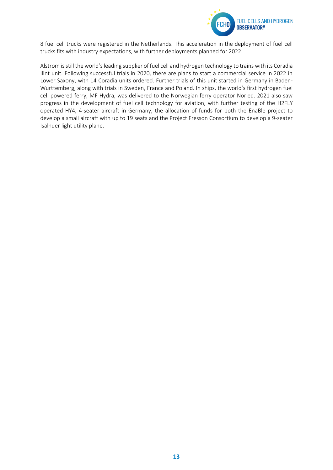

8 fuel cell trucks were registered in the Netherlands. This acceleration in the deployment of fuel cell trucks fits with industry expectations, with further deployments planned for 2022.

Alstrom is still the world'sleading supplier of fuel cell and hydrogen technology to trains with its Coradia Ilint unit. Following successful trials in 2020, there are plans to start a commercial service in 2022 in Lower Saxony, with 14 Coradia units ordered. Further trials of this unit started in Germany in Baden-Wurttemberg, along with trials in Sweden, France and Poland. In ships, the world's first hydrogen fuel cell powered ferry, MF Hydra, was delivered to the Norwegian ferry operator Norled. 2021 also saw progress in the development of fuel cell technology for aviation, with further testing of the H2FLY operated HY4, 4-seater aircraft in Germany, the allocation of funds for both the EnaBle project to develop a small aircraft with up to 19 seats and the Project Fresson Consortium to develop a 9-seater Isalnder light utility plane.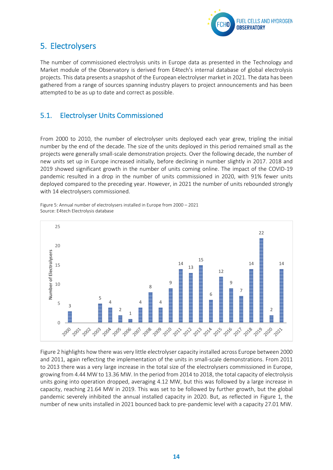

## <span id="page-14-0"></span>5. Electrolysers

The number of commissioned electrolysis units in Europe data as presented in the Technology and Market module of the Observatory is derived from E4tech's internal database of global electrolysis projects. This data presents a snapshot of the European electrolyser market in 2021. The data has been gathered from a range of sources spanning industry players to project announcements and has been attempted to be as up to date and correct as possible.

### <span id="page-14-1"></span>5.1. Electrolyser Units Commissioned

From 2000 to 2010, the number of electrolyser units deployed each year grew, tripling the initial number by the end of the decade. The size of the units deployed in this period remained small as the projects were generally small-scale demonstration projects. Over the following decade, the number of new units set up in Europe increased initially, before declining in number slightly in 2017. 2018 and 2019 showed significant growth in the number of units coming online. The impact of the COVID-19 pandemic resulted in a drop in the number of units commissioned in 2020, with 91% fewer units deployed compared to the preceding year. However, in 2021 the number of units rebounded strongly with 14 electrolysers commissioned.

Figure 5: Annual number of electrolysers installed in Europe from 2000 – 2021 Source: E4tech Electrolysis database



Figure 2 highlights how there was very little electrolyser capacity installed across Europe between 2000 and 2011, again reflecting the implementation of the units in small-scale demonstrations. From 2011 to 2013 there was a very large increase in the total size of the electrolysers commissioned in Europe, growing from 4.44 MW to 13.36 MW. In the period from 2014 to 2018, the total capacity of electrolysis units going into operation dropped, averaging 4.12 MW, but this was followed by a large increase in capacity, reaching 21.64 MW in 2019. This was set to be followed by further growth, but the global pandemic severely inhibited the annual installed capacity in 2020. But, as reflected in Figure 1, the number of new units installed in 2021 bounced back to pre-pandemic level with a capacity 27.01 MW.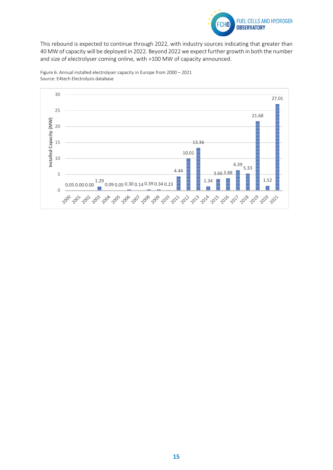

This rebound is expected to continue through 2022, with industry sources indicating that greater than 40 MW of capacity will be deployed in 2022. Beyond 2022 we expect further growth in both the number and size of electrolyser coming online, with >100 MW of capacity announced.



Figure 6: Annual installed electrolyser capacity in Europe from 2000 – 2021 Source: E4tech Electrolysis database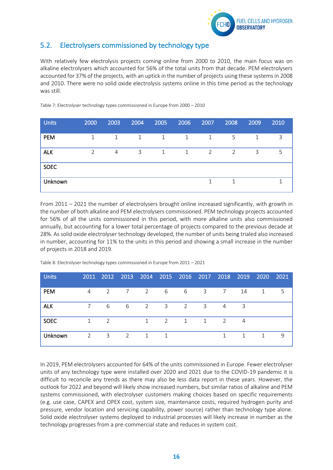

### <span id="page-16-0"></span>5.2. Electrolysers commissioned by technology type

With relatively few electrolysis projects coming online from 2000 to 2010, the main focus was on alkaline electrolysers which accounted for 56% of the total units from that decade. PEM electrolysers accounted for 37% of the projects, with an uptick in the number of projects using these systems in 2008 and 2010. There were no solid oxide electrolysis systems online in this time period as the technology was still.

| <b>Units</b> | 2000           | 2003           | 2004 | 2005 | 2006 | 2007         | 2008 | 2009 | 2010 |
|--------------|----------------|----------------|------|------|------|--------------|------|------|------|
| PEM          | $\mathbf{1}$   | 1              | 1    | 1    | 1    | $\mathbf{1}$ | 5    | 1    | 3    |
| <b>ALK</b>   | $\overline{2}$ | $\overline{4}$ | 3    | 1    | 1    | 2            | 2    | 3    | 5    |
| <b>SOEC</b>  |                |                |      |      |      |              |      |      |      |
| Unknown      |                |                |      |      |      | $\mathbf{1}$ | 1    |      |      |

Table 7: Electrolyser technology types commissioned in Europe from 2000 – 2010

From 2011 – 2021 the number of electrolysers brought online increased significantly, with growth in the number of both alkaline and PEM electrolysers commissioned. PEM technology projects accounted for 56% of all the units commissioned in this period, with more alkaline units also commissioned annually, but accounting for a lower total percentage of projects compared to the previous decade at 28%. As solid oxide electrolyser technology developed, the number of units being trialed also increased in number, accounting for 11% to the units in this period and showing a small increase in the number of projects in 2018 and 2019.

| <b>Units</b> |             |     |                 |                |                     | 2011 2012 2013 2014 2015 2016 2017 2018 2019 2020 2021 |                         |   |              |              |   |
|--------------|-------------|-----|-----------------|----------------|---------------------|--------------------------------------------------------|-------------------------|---|--------------|--------------|---|
| <b>PEM</b>   | 4           | 2   | 7               | $\overline{2}$ | $6\overline{}$      | - 6                                                    | 3 <sup>7</sup>          | 7 | 14           |              |   |
| <b>ALK</b>   | 7           | - 6 | $6\overline{6}$ |                | $2 \qquad \qquad 3$ | 2                                                      | $\overline{\mathbf{3}}$ | 4 | 3            |              |   |
| <b>SOEC</b>  | 1           | 2   |                 | $\overline{1}$ | 2                   | 1                                                      | $\overline{1}$          | 2 | 4            |              |   |
| Unknown      | $2^{\circ}$ | 3   | 2               | 1              | $\mathbf{1}$        |                                                        |                         | 1 | $\mathbf{1}$ | $\mathbf{1}$ | 9 |

Table 8: Electrolyser technology types commissioned in Europe from 2011 – 2021

In 2019, PEM electrolysers accounted for 64% of the units commissioned in Europe. Fewer electrolyser units of any technology type were installed over 2020 and 2021 due to the COVID-19 pandemic it is difficult to reconcile any trends as there may also be less data report in these years. However, the outlook for 2022 and beyond will likely show increased numbers, but similar ratios of alkaline and PEM systems commissioned, with electrolyser customers making choices based on specific requirements (e.g. use case, CAPEX and OPEX cost, system size, maintenance costs, required hydrogen purity and pressure, vendor location and servicing capability, power source) rather than technology type alone. Solid oxide electrolyser systems deployed to industrial processes will likely increase in number as the technology progresses from a pre-commercial state and reduces in system cost.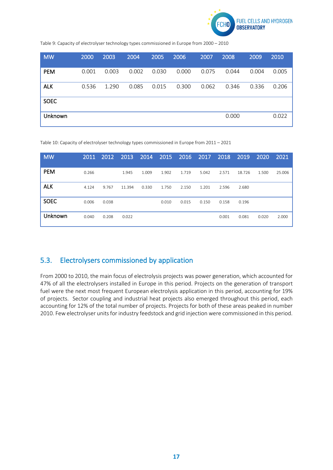

Table 9: Capacity of electrolyser technology types commissioned in Europe from 2000 – 2010

| <b>MW</b>   | 2000  | 2003  | 2004  | 2005  | 2006  | 2007  | 2008  | 2009  | 2010  |
|-------------|-------|-------|-------|-------|-------|-------|-------|-------|-------|
| <b>PEM</b>  | 0.001 | 0.003 | 0.002 | 0.030 | 0.000 | 0.075 | 0.044 | 0.004 | 0.005 |
| <b>ALK</b>  | 0.536 | 1.290 | 0.085 | 0.015 | 0.300 | 0.062 | 0.346 | 0.336 | 0.206 |
| <b>SOEC</b> |       |       |       |       |       |       |       |       |       |
| Unknown     |       |       |       |       |       |       | 0.000 |       | 0.022 |

Table 10: Capacity of electrolyser technology types commissioned in Europe from 2011 – 2021

| <b>MW</b>   | 2011  | 2012  | 2013   | 2014  | 2015  | 2016  | 2017  | 2018  | 2019   | 2020  | 2021   |
|-------------|-------|-------|--------|-------|-------|-------|-------|-------|--------|-------|--------|
| <b>PEM</b>  | 0.266 |       | 1.945  | 1.009 | 1.902 | 1.719 | 5.042 | 2.571 | 18.726 | 1.500 | 25.006 |
| <b>ALK</b>  | 4.124 | 9.767 | 11.394 | 0.330 | 1.750 | 2.150 | 1.201 | 2.596 | 2.680  |       |        |
| <b>SOEC</b> | 0.006 | 0.038 |        |       | 0.010 | 0.015 | 0.150 | 0.158 | 0.196  |       |        |
| Unknown     | 0.040 | 0.208 | 0.022  |       |       |       |       | 0.001 | 0.081  | 0.020 | 2.000  |

### <span id="page-17-0"></span>5.3. Electrolysers commissioned by application

From 2000 to 2010, the main focus of electrolysis projects was power generation, which accounted for 47% of all the electrolysers installed in Europe in this period. Projects on the generation of transport fuel were the next most frequent European electrolysis application in this period, accounting for 19% of projects. Sector coupling and industrial heat projects also emerged throughout this period, each accounting for 12% of the total number of projects. Projects for both of these areas peaked in number 2010. Few electrolyser units for industry feedstock and grid injection were commissioned in this period.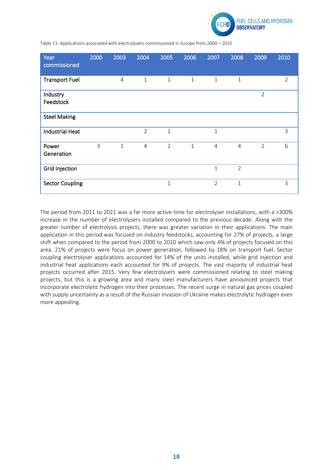

Table 11: Applications associated with electrolysers commissioned in Europe from 2000 – 2010

| Year<br>commissioned   | 2000 | 2003           | 2004           | 2005           | 2006         | 2007           | 2008           | 2009           | 2010           |
|------------------------|------|----------------|----------------|----------------|--------------|----------------|----------------|----------------|----------------|
| <b>Transport Fuel</b>  |      | $\overline{4}$ | 1              | $\mathbf{1}$   | $\mathbf{1}$ | $\mathbf{1}$   | $\mathbf{1}$   |                | $\overline{2}$ |
| Industry<br>Feedstock  |      |                |                |                |              |                |                | $\overline{2}$ |                |
| <b>Steel Making</b>    |      |                |                |                |              |                |                |                |                |
| <b>Industrial Heat</b> |      |                | $\overline{2}$ | $\mathbf{1}$   |              | $\mathbf{1}$   |                |                | 3              |
| Power<br>Generation    | 3    | $\mathbf{1}$   | $\overline{4}$ | $\overline{2}$ | $\mathbf{1}$ | $\overline{4}$ | $\overline{4}$ | $\overline{2}$ | 6              |
| <b>Grid Injection</b>  |      |                |                |                |              | $\mathbf{1}$   | $\overline{2}$ |                |                |
| <b>Sector Coupling</b> |      |                |                | $\mathbf 1$    |              | $\overline{2}$ | 1              |                | 3              |

The period from 2011 to 2021 was a far more active time for electrolyser installations, with a >300% increase in the number of electrolysers installed compared to the previous decade. Along with the greater number of electrolysis projects, there was greater variation in their applications. The main application in this period was focused on industry feedstocks, accounting for 27% of projects, a large shift when compared to the period from 2000 to 2010 which saw only 4% of projects focused on this area. 21% of projects were focus on power generation, followed by 18% on transport fuel. Sector coupling electrolyser applications accounted for 14% of the units installed, while grid injection and industrial heat applications each accounted for 9% of projects. The vast majority of industrial heat projects occurred after 2015. Very few electrolysers were commissioned relating to steel making projects, but this is a growing area and many steel manufacturers have announced projects that incorporate electrolytic hydrogen into their processes. The recent surge in natural gas prices coupled with supply uncertainty as a result of the Russian invasion of Ukraine makes electrolytic hydrogen even more appealing.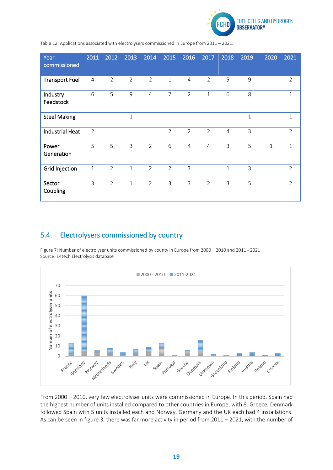

Table 12: Applications associated with electrolysers commissioned in Europe from 2011 – 2021.

| Year<br>commissioned   | 2011           | 2012           | 2013           | 2014           | 2015           | 2016           | 2017           | 2018           | 2019        | 2020 | 2021           |
|------------------------|----------------|----------------|----------------|----------------|----------------|----------------|----------------|----------------|-------------|------|----------------|
| <b>Transport Fuel</b>  | 4              | 2              | $\overline{2}$ | $\overline{2}$ | $\mathbf{1}$   | $\overline{4}$ | 2              | 5              | 9           |      | $\overline{2}$ |
| Industry<br>Feedstock  | 6              | 5              | 9              | $\overline{4}$ | $\overline{7}$ | $\overline{2}$ | $\mathbf{1}$   | 6              | 8           |      | 1              |
| <b>Steel Making</b>    |                |                | $\mathbf{1}$   |                |                |                |                |                | $\mathbf 1$ |      | 1              |
| <b>Industrial Heat</b> | $\overline{2}$ |                |                |                | $\overline{2}$ | $\overline{2}$ | $\overline{2}$ | $\overline{4}$ | 3           |      | $\overline{2}$ |
| Power<br>Generation    | 5              | 5              | 3              | $\overline{2}$ | 6              | $\overline{4}$ | 4              | 3              | 5           | 1    | 1              |
| <b>Grid Injection</b>  | $\mathbf{1}$   | $\overline{2}$ | $\overline{1}$ | $\overline{2}$ | $\overline{2}$ | $\overline{3}$ |                | $\mathbf{1}$   | 3           |      | $\overline{2}$ |
| Sector<br>Coupling     | 3              | 2              | $\mathbf{1}$   | $\overline{2}$ | 3              | $\overline{3}$ | $\overline{2}$ | 3              | 5           |      | $\overline{2}$ |

### <span id="page-19-0"></span>5.4. Electrolysers commissioned by country

 $\equiv$  2000 - 2010  $\equiv$  2011-2021 70 Number of electrolyser units **Number of electrolyser units** 60 50 40 30 20 10 0 - 8 Nextretands Portugal Unknown Germany Norwall streden  $\sqrt{2}$ Greenland Austria **ITON** Spain Greece Denmark Finland Poland Fistoria

Figure 7: Number of electrolyser units commissioned by county in Europe from 2000 – 2010 and 2011 - 2021 Source: E4tech Electrolysis database

From 2000 – 2010, very few electrolyser units were commissioned in Europe. In this period, Spain had the highest number of units installed compared to other countries in Europe, with 8. Greece, Denmark followed Spain with 5 units installed each and Norway, Germany and the UK each had 4 installations. As can be seen in figure 3, there was far more activity in period from 2011 – 2021, with the number of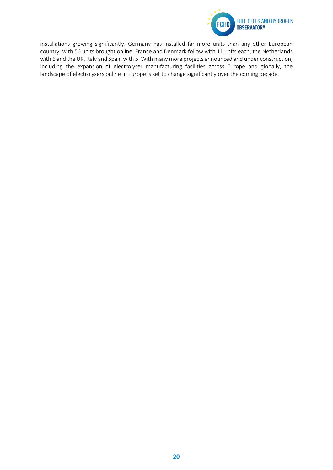

installations growing significantly. Germany has installed far more units than any other European country, with 56 units brought online. France and Denmark follow with 11 units each, the Netherlands with 6 and the UK, Italy and Spain with 5. With many more projects announced and under construction, including the expansion of electrolyser manufacturing facilities across Europe and globally, the landscape of electrolysers online in Europe is set to change significantly over the coming decade.